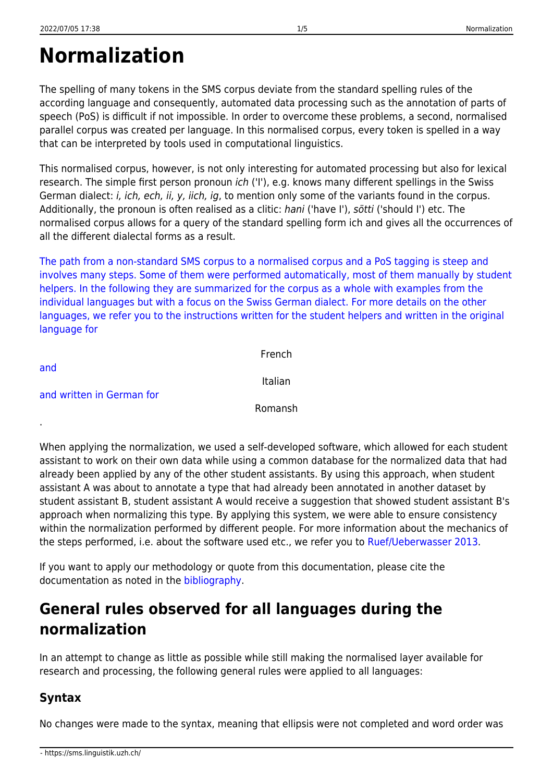# **Normalization**

The spelling of many tokens in the SMS corpus deviate from the standard spelling rules of the according language and consequently, automated data processing such as the annotation of parts of speech (PoS) is difficult if not impossible. In order to overcome these problems, a second, normalised parallel corpus was created per language. In this normalised corpus, every token is spelled in a way that can be interpreted by tools used in computational linguistics.

This normalised corpus, however, is not only interesting for automated processing but also for lexical research. The simple first person pronoun ich ('I'), e.g. knows many different spellings in the Swiss German dialect: i, ich, ech, ii, y, iich, ig, to mention only some of the variants found in the corpus. Additionally, the pronoun is often realised as a clitic: hani ('have I'), sötti ('should I') etc. The normalised corpus allows for a query of the standard spelling form ich and gives all the occurrences of all the different dialectal forms as a result.

[The path from a non-standard SMS corpus to a normalised corpus and a PoS tagging is steep and](https://sms.linguistik.uzh.ch/_media/03_processing/normalization_fra.pdf) [involves many steps. Some of them were performed automatically, most of them manually by student](https://sms.linguistik.uzh.ch/_media/03_processing/normalization_fra.pdf) [helpers. In the following they are summarized for the corpus as a whole with examples from the](https://sms.linguistik.uzh.ch/_media/03_processing/normalization_fra.pdf) [individual languages but with a focus on the Swiss German dialect. For more details on the other](https://sms.linguistik.uzh.ch/_media/03_processing/normalization_fra.pdf) [languages, we refer you to the instructions written for the student helpers and written in the original](https://sms.linguistik.uzh.ch/_media/03_processing/normalization_fra.pdf) [language for](https://sms.linguistik.uzh.ch/_media/03_processing/normalization_fra.pdf)

| and                       | French  |
|---------------------------|---------|
| and written in German for | Italian |
|                           | Romansh |

When applying the normalization, we used a self-developed software, which allowed for each student assistant to work on their own data while using a common database for the normalized data that had already been applied by any of the other student assistants. By using this approach, when student assistant A was about to annotate a type that had already been annotated in another dataset by student assistant B, student assistant A would receive a suggestion that showed student assistant B's approach when normalizing this type. By applying this system, we were able to ensure consistency within the normalization performed by different people. For more information about the mechanics of the steps performed, i.e. about the software used etc., we refer you to [Ruef/Ueberwasser 2013.](https://ueberwasser.eu/UeFiles/uni/Tagungen/2012Koeln/RuefUeberwasser.pdf)

If you want to apply our methodology or quote from this documentation, please cite the documentation as noted in the [bibliography.](https://sms.linguistik.uzh.ch/start)

# **General rules observed for all languages during the normalization**

In an attempt to change as little as possible while still making the normalised layer available for research and processing, the following general rules were applied to all languages:

# **Syntax**

.

No changes were made to the syntax, meaning that ellipsis were not completed and word order was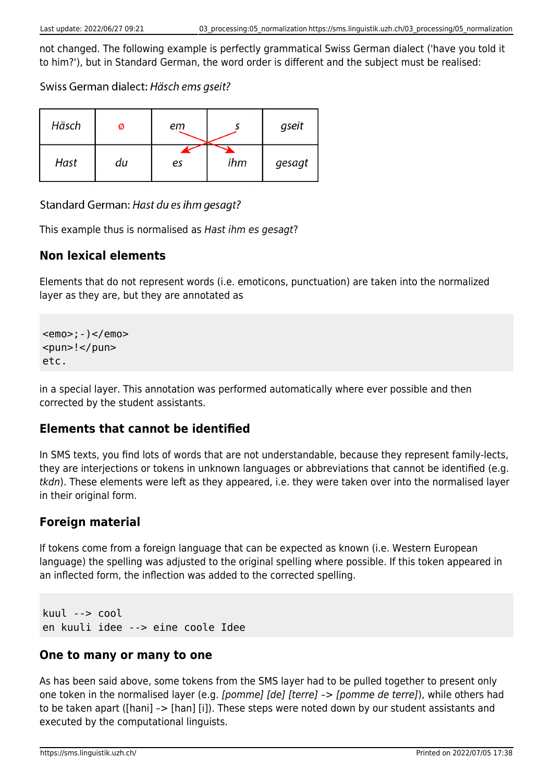not changed. The following example is perfectly grammatical Swiss German dialect ('have you told it to him?'), but in Standard German, the word order is different and the subject must be realised:

Swiss German dialect: Häsch ems gseit?

| Häsch | Ø  | еm |     | gseit  |
|-------|----|----|-----|--------|
| Hast  | du | es | ihm | gesagt |

Standard German: Hast du es ihm gesagt?

This example thus is normalised as Hast ihm es gesagt?

#### **Non lexical elements**

Elements that do not represent words (i.e. emoticons, punctuation) are taken into the normalized layer as they are, but they are annotated as

<emo>;-)</emo> <pun>!</pun> etc.

in a special layer. This annotation was performed automatically where ever possible and then corrected by the student assistants.

# **Elements that cannot be identified**

In SMS texts, you find lots of words that are not understandable, because they represent family-lects, they are interjections or tokens in unknown languages or abbreviations that cannot be identified (e.g. tkdn). These elements were left as they appeared, i.e. they were taken over into the normalised layer in their original form.

# **Foreign material**

If tokens come from a foreign language that can be expected as known (i.e. Western European language) the spelling was adjusted to the original spelling where possible. If this token appeared in an inflected form, the inflection was added to the corrected spelling.

kuul --> cool en kuuli idee --> eine coole Idee

#### **One to many or many to one**

As has been said above, some tokens from the SMS layer had to be pulled together to present only one token in the normalised layer (e.g. [pomme] [de] [terre] –> [pomme de terre]), while others had to be taken apart ([hani] –> [han] [i]). These steps were noted down by our student assistants and executed by the computational linguists.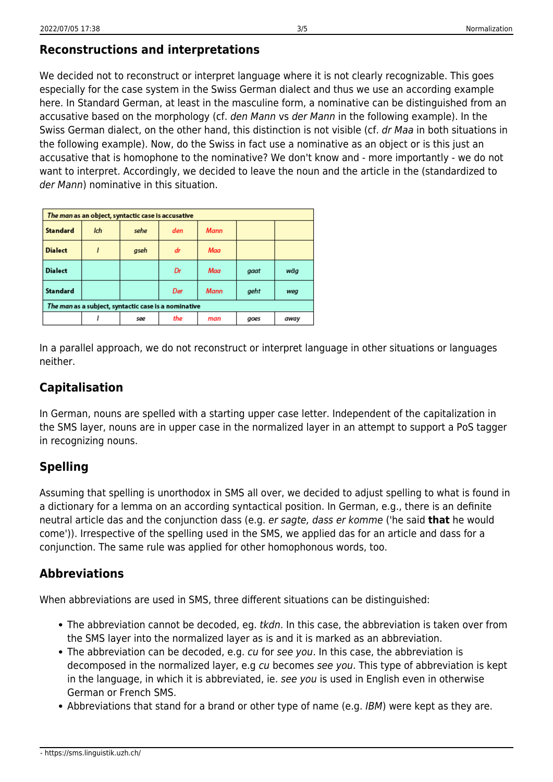We decided not to reconstruct or interpret language where it is not clearly recognizable. This goes especially for the case system in the Swiss German dialect and thus we use an according example here. In Standard German, at least in the masculine form, a nominative can be distinguished from an accusative based on the morphology (cf. den Mann vs der Mann in the following example). In the Swiss German dialect, on the other hand, this distinction is not visible (cf. dr Maa in both situations in the following example). Now, do the Swiss in fact use a nominative as an object or is this just an accusative that is homophone to the nominative? We don't know and - more importantly - we do not want to interpret. Accordingly, we decided to leave the noun and the article in the (standardized to der Mann) nominative in this situation.

| The man as an object, syntactic case is accusative   |     |      |     |      |      |      |
|------------------------------------------------------|-----|------|-----|------|------|------|
| <b>Standard</b>                                      | Ich | sehe | den | Mann |      |      |
| <b>Dialect</b>                                       |     | gseh | dr  | Maa  |      |      |
| <b>Dialect</b>                                       |     |      | Dr  | Maa  | gaat | wäa  |
| <b>Standard</b>                                      |     |      | Der | Mann | geht | weg  |
| The man as a subject, syntactic case is a nominative |     |      |     |      |      |      |
|                                                      |     | see  | the | man  | goes | away |

In a parallel approach, we do not reconstruct or interpret language in other situations or languages neither.

#### **Capitalisation**

In German, nouns are spelled with a starting upper case letter. Independent of the capitalization in the SMS layer, nouns are in upper case in the normalized layer in an attempt to support a PoS tagger in recognizing nouns.

# **Spelling**

Assuming that spelling is unorthodox in SMS all over, we decided to adjust spelling to what is found in a dictionary for a lemma on an according syntactical position. In German, e.g., there is an definite neutral article das and the conjunction dass (e.g. er sagte, dass er komme ('he said **that** he would come')). Irrespective of the spelling used in the SMS, we applied das for an article and dass for a conjunction. The same rule was applied for other homophonous words, too.

# **Abbreviations**

When abbreviations are used in SMS, three different situations can be distinguished:

- The abbreviation cannot be decoded, eg. *tkdn*. In this case, the abbreviation is taken over from the SMS layer into the normalized layer as is and it is marked as an abbreviation.
- The abbreviation can be decoded, e.g. cu for see you. In this case, the abbreviation is decomposed in the normalized layer, e.g cu becomes see you. This type of abbreviation is kept in the language, in which it is abbreviated, ie. see you is used in English even in otherwise German or French SMS.
- Abbreviations that stand for a brand or other type of name (e.g. IBM) were kept as they are.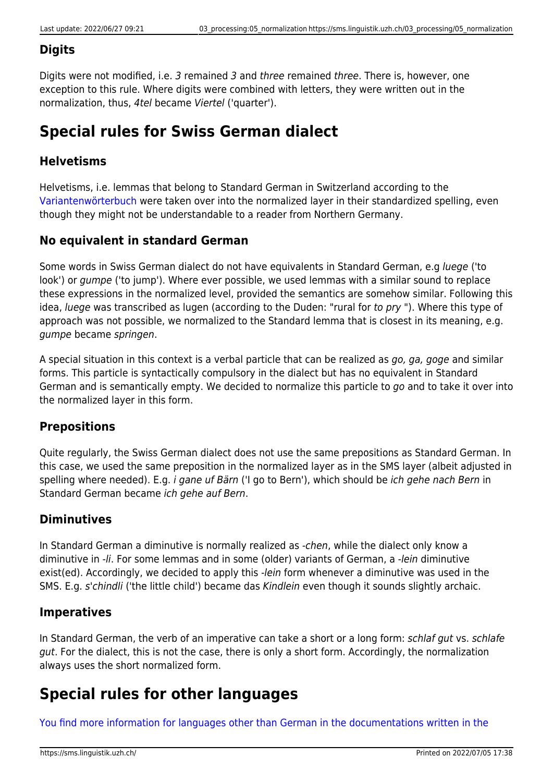#### **Digits**

Digits were not modified, i.e. 3 remained 3 and three remained three. There is, however, one exception to this rule. Where digits were combined with letters, they were written out in the normalization, thus, 4tel became Viertel ('quarter').

# **Special rules for Swiss German dialect**

# **Helvetisms**

Helvetisms, i.e. lemmas that belong to Standard German in Switzerland according to the [Variantenwörterbuch](https://www.degruyter.com/document/doi/10.1515/9783110905816/html) were taken over into the normalized layer in their standardized spelling, even though they might not be understandable to a reader from Northern Germany.

#### **No equivalent in standard German**

Some words in Swiss German dialect do not have equivalents in Standard German, e.g luege ('to look') or gumpe ('to jump'). Where ever possible, we used lemmas with a similar sound to replace these expressions in the normalized level, provided the semantics are somehow similar. Following this idea, luege was transcribed as lugen (according to the Duden: "rural for to pry "). Where this type of approach was not possible, we normalized to the Standard lemma that is closest in its meaning, e.g. gumpe became springen.

A special situation in this context is a verbal particle that can be realized as go, ga, goge and similar forms. This particle is syntactically compulsory in the dialect but has no equivalent in Standard German and is semantically empty. We decided to normalize this particle to go and to take it over into the normalized layer in this form.

#### **Prepositions**

Quite regularly, the Swiss German dialect does not use the same prepositions as Standard German. In this case, we used the same preposition in the normalized layer as in the SMS layer (albeit adjusted in spelling where needed). E.g. i gane uf Bärn ('I go to Bern'), which should be ich gehe nach Bern in Standard German became ich gehe auf Bern.

# **Diminutives**

In Standard German a diminutive is normally realized as -chen, while the dialect only know a diminutive in -li. For some lemmas and in some (older) variants of German, a -lein diminutive exist(ed). Accordingly, we decided to apply this -*lein* form whenever a diminutive was used in the SMS. E.g. s'chindli ('the little child') became das Kindlein even though it sounds slightly archaic.

# **Imperatives**

In Standard German, the verb of an imperative can take a short or a long form: schlaf gut vs. schlafe gut. For the dialect, this is not the case, there is only a short form. Accordingly, the normalization always uses the short normalized form.

# **Special rules for other languages**

[You find more information for languages other than German in the documentations written in the](https://sms.linguistik.uzh.ch/_media/03_processing/normalization_fra.pdf)